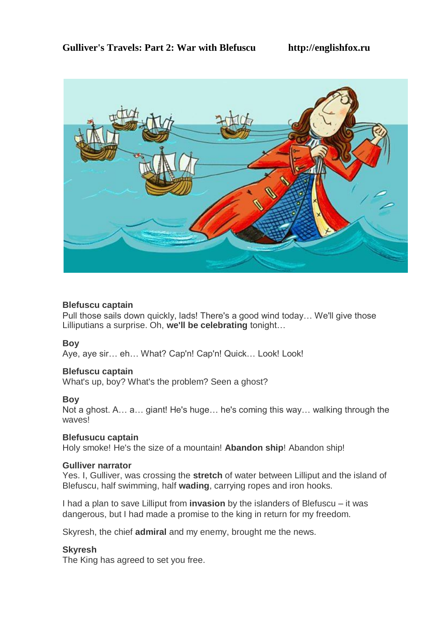

## **Blefuscu captain**

Pull those sails down quickly, lads! There's a good wind today… We'll give those Lilliputians a surprise. Oh, **we'll be celebrating** tonight…

## **Boy**

Aye, aye sir... eh... What? Cap'n! Cap'n! Quick... Look! Look!

## **Blefuscu captain**

What's up, boy? What's the problem? Seen a ghost?

## **Boy**

Not a ghost. A… a… giant! He's huge… he's coming this way… walking through the waves!

## **Blefusucu captain**

Holy smoke! He's the size of a mountain! **Abandon ship**! Abandon ship!

#### **Gulliver narrator**

Yes. I, Gulliver, was crossing the **stretch** of water between Lilliput and the island of Blefuscu, half swimming, half **wading**, carrying ropes and iron hooks.

I had a plan to save Lilliput from **invasion** by the islanders of Blefuscu – it was dangerous, but I had made a promise to the king in return for my freedom.

Skyresh, the chief **admiral** and my enemy, brought me the news.

## **Skyresh**

The King has agreed to set you free.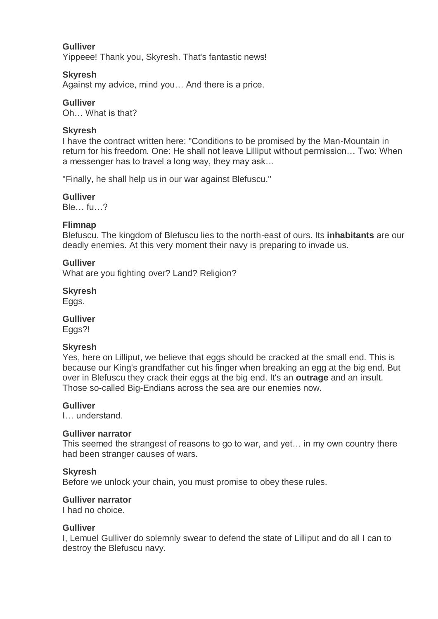### **Gulliver**

Yippeee! Thank you, Skyresh. That's fantastic news!

#### **Skyresh**

Against my advice, mind you… And there is a price.

### **Gulliver**

Oh… What is that?

### **Skyresh**

I have the contract written here: "Conditions to be promised by the Man-Mountain in return for his freedom. One: He shall not leave Lilliput without permission… Two: When a messenger has to travel a long way, they may ask…

"Finally, he shall help us in our war against Blefuscu."

#### **Gulliver**

Ble<sub>u</sub> fu ?

#### **Flimnap**

Blefuscu. The kingdom of Blefuscu lies to the north-east of ours. Its **inhabitants** are our deadly enemies. At this very moment their navy is preparing to invade us.

#### **Gulliver**

What are you fighting over? Land? Religion?

#### **Skyresh**

Eggs.

#### **Gulliver**

Eggs?!

#### **Skyresh**

Yes, here on Lilliput, we believe that eggs should be cracked at the small end. This is because our King's grandfather cut his finger when breaking an egg at the big end. But over in Blefuscu they crack their eggs at the big end. It's an **outrage** and an insult. Those so-called Big-Endians across the sea are our enemies now.

#### **Gulliver**

I… understand.

#### **Gulliver narrator**

This seemed the strangest of reasons to go to war, and yet… in my own country there had been stranger causes of wars.

#### **Skyresh**

Before we unlock your chain, you must promise to obey these rules.

#### **Gulliver narrator**

I had no choice.

#### **Gulliver**

I, Lemuel Gulliver do solemnly swear to defend the state of Lilliput and do all I can to destroy the Blefuscu navy.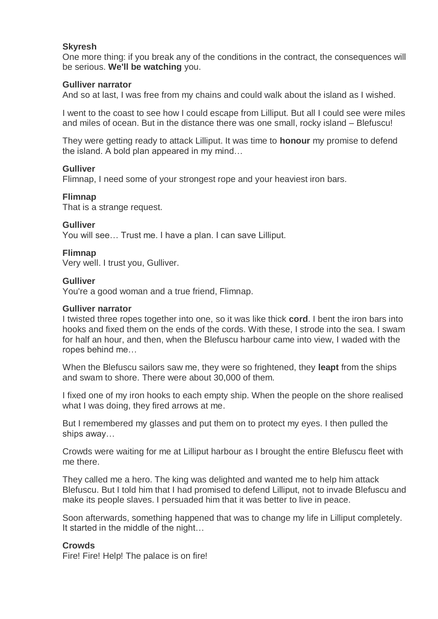### **Skyresh**

One more thing: if you break any of the conditions in the contract, the consequences will be serious. **We'll be watching** you.

### **Gulliver narrator**

And so at last, I was free from my chains and could walk about the island as I wished.

I went to the coast to see how I could escape from Lilliput. But all I could see were miles and miles of ocean. But in the distance there was one small, rocky island – Blefuscu!

They were getting ready to attack Lilliput. It was time to **honour** my promise to defend the island. A bold plan appeared in my mind…

#### **Gulliver**

Flimnap, I need some of your strongest rope and your heaviest iron bars.

#### **Flimnap**

That is a strange request.

#### **Gulliver**

You will see… Trust me. I have a plan. I can save Lilliput.

#### **Flimnap**

Very well. I trust you, Gulliver.

#### **Gulliver**

You're a good woman and a true friend, Flimnap.

#### **Gulliver narrator**

I twisted three ropes together into one, so it was like thick **cord**. I bent the iron bars into hooks and fixed them on the ends of the cords. With these, I strode into the sea. I swam for half an hour, and then, when the Blefuscu harbour came into view, I waded with the ropes behind me…

When the Blefuscu sailors saw me, they were so frightened, they **leapt** from the ships and swam to shore. There were about 30,000 of them.

I fixed one of my iron hooks to each empty ship. When the people on the shore realised what I was doing, they fired arrows at me.

But I remembered my glasses and put them on to protect my eyes. I then pulled the ships away…

Crowds were waiting for me at Lilliput harbour as I brought the entire Blefuscu fleet with me there.

They called me a hero. The king was delighted and wanted me to help him attack Blefuscu. But I told him that I had promised to defend Lilliput, not to invade Blefuscu and make its people slaves. I persuaded him that it was better to live in peace.

Soon afterwards, something happened that was to change my life in Lilliput completely. It started in the middle of the night…

#### **Crowds**

Fire! Fire! Help! The palace is on fire!